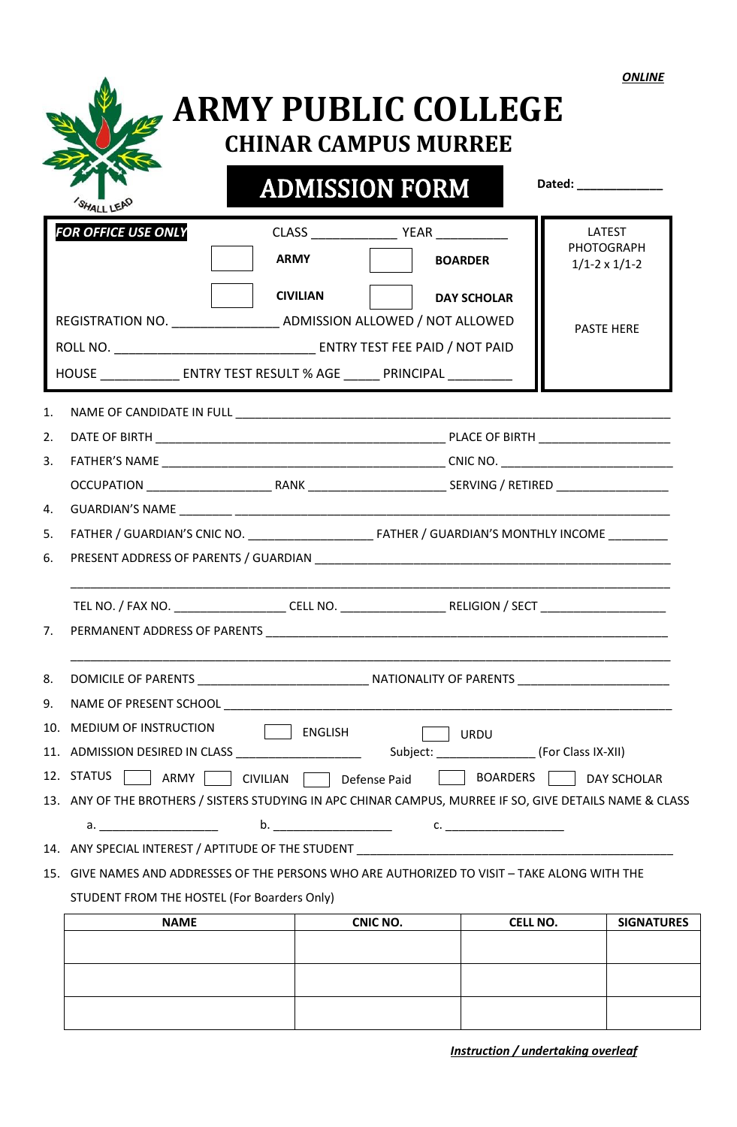| и<br>'NLI<br>W |
|----------------|
|----------------|

|                                                                                                          |                                                                                               | <b>ADMISSION FORM</b> |                    | Dated: ______________              |
|----------------------------------------------------------------------------------------------------------|-----------------------------------------------------------------------------------------------|-----------------------|--------------------|------------------------------------|
| FOR OFFICE USE ONLY                                                                                      |                                                                                               |                       |                    | <b>LATEST</b><br><b>PHOTOGRAPH</b> |
|                                                                                                          | <b>ARMY</b>                                                                                   |                       | <b>BOARDER</b>     | $1/1-2 \times 1/1-2$               |
|                                                                                                          | <b>CIVILIAN</b>                                                                               |                       | <b>DAY SCHOLAR</b> |                                    |
|                                                                                                          | REGISTRATION NO. ____________________ ADMISSION ALLOWED / NOT ALLOWED                         |                       |                    |                                    |
|                                                                                                          |                                                                                               |                       |                    | <b>PASTE HERE</b>                  |
|                                                                                                          | HOUSE _________________ ENTRY TEST RESULT % AGE _______ PRINCIPAL _____________               |                       |                    |                                    |
|                                                                                                          |                                                                                               |                       |                    |                                    |
| 1.                                                                                                       |                                                                                               |                       |                    |                                    |
| 2.                                                                                                       |                                                                                               |                       |                    |                                    |
| 3.                                                                                                       |                                                                                               |                       |                    |                                    |
| 4.                                                                                                       |                                                                                               |                       |                    |                                    |
| 5.                                                                                                       |                                                                                               |                       |                    |                                    |
| 6.                                                                                                       |                                                                                               |                       |                    |                                    |
|                                                                                                          |                                                                                               |                       |                    |                                    |
| 7.                                                                                                       |                                                                                               |                       |                    |                                    |
| 8.                                                                                                       |                                                                                               |                       |                    |                                    |
| 9.                                                                                                       |                                                                                               |                       |                    |                                    |
| 10. MEDIUM OF INSTRUCTION                                                                                | ENGLISH                                                                                       |                       | <b>URDU</b>        |                                    |
|                                                                                                          |                                                                                               |                       |                    |                                    |
| 12. STATUS<br>ARMY                                                                                       | CIVILIAN Defense Paid                                                                         |                       | BOARDERS           | <b>DAY SCHOLAR</b>                 |
|                                                                                                          |                                                                                               |                       |                    |                                    |
|                                                                                                          |                                                                                               |                       |                    |                                    |
|                                                                                                          |                                                                                               |                       |                    |                                    |
|                                                                                                          |                                                                                               |                       |                    |                                    |
|                                                                                                          | 15. GIVE NAMES AND ADDRESSES OF THE PERSONS WHO ARE AUTHORIZED TO VISIT - TAKE ALONG WITH THE |                       |                    |                                    |
| 13. ANY OF THE BROTHERS / SISTERS STUDYING IN APC CHINAR CAMPUS, MURREE IF SO, GIVE DETAILS NAME & CLASS | STUDENT FROM THE HOSTEL (For Boarders Only)                                                   |                       |                    |                                    |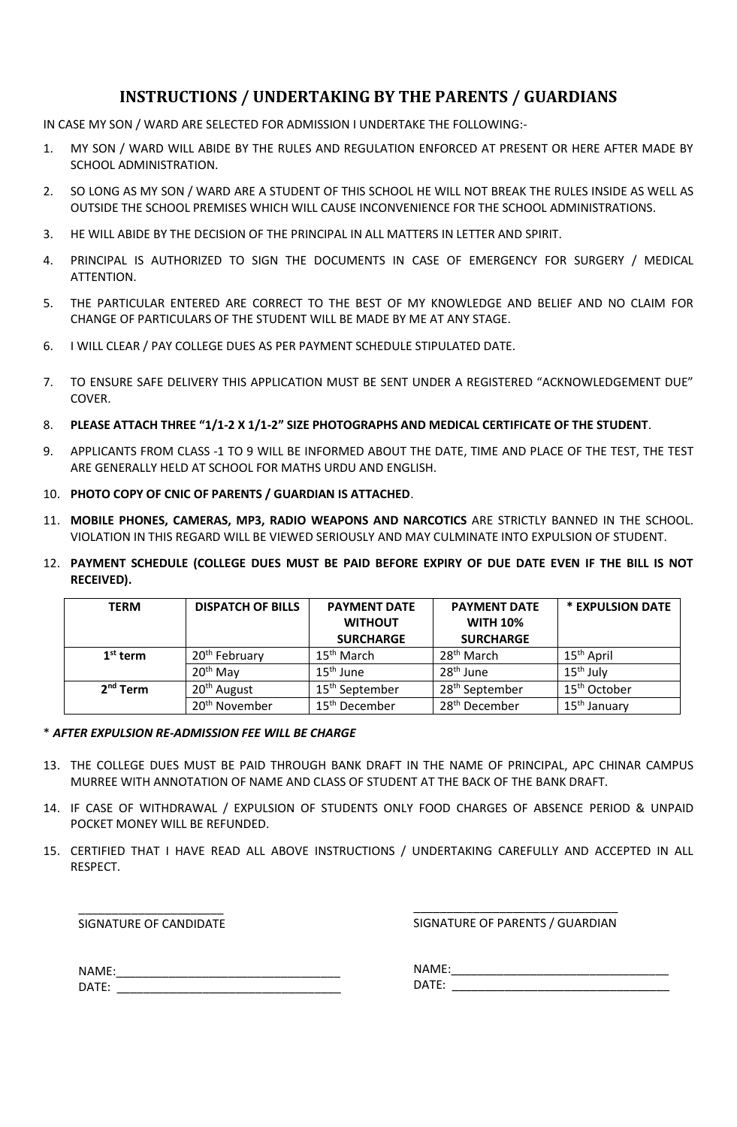# **INSTRUCTIONS / UNDERTAKING BY THE PARENTS / GUARDIANS**

IN CASE MY SON / WARD ARE SELECTED FOR ADMISSION I UNDERTAKE THE FOLLOWING:-

- 1. MY SON / WARD WILL ABIDE BY THE RULES AND REGULATION ENFORCED AT PRESENT OR HERE AFTER MADE BY SCHOOL ADMINISTRATION.
- 2. SO LONG AS MY SON / WARD ARE A STUDENT OF THIS SCHOOL HE WILL NOT BREAK THE RULES INSIDE AS WELL AS OUTSIDE THE SCHOOL PREMISES WHICH WILL CAUSE INCONVENIENCE FOR THE SCHOOL ADMINISTRATIONS.
- 3. HE WILL ABIDE BY THE DECISION OF THE PRINCIPAL IN ALL MATTERS IN LETTER AND SPIRIT.
- 4. PRINCIPAL IS AUTHORIZED TO SIGN THE DOCUMENTS IN CASE OF EMERGENCY FOR SURGERY / MEDICAL ATTENTION.
- 5. THE PARTICULAR ENTERED ARE CORRECT TO THE BEST OF MY KNOWLEDGE AND BELIEF AND NO CLAIM FOR CHANGE OF PARTICULARS OF THE STUDENT WILL BE MADE BY ME AT ANY STAGE.
- 6. I WILL CLEAR / PAY COLLEGE DUES AS PER PAYMENT SCHEDULE STIPULATED DATE.
- 7. TO ENSURE SAFE DELIVERY THIS APPLICATION MUST BE SENT UNDER A REGISTERED "ACKNOWLEDGEMENT DUE" COVER.

#### 8. **PLEASE ATTACH THREE "1/1-2 X 1/1-2" SIZE PHOTOGRAPHS AND MEDICAL CERTIFICATE OF THE STUDENT**.

- 9. APPLICANTS FROM CLASS -1 TO 9 WILL BE INFORMED ABOUT THE DATE, TIME AND PLACE OF THE TEST, THE TEST ARE GENERALLY HELD AT SCHOOL FOR MATHS URDU AND ENGLISH.
- 10. **PHOTO COPY OF CNIC OF PARENTS / GUARDIAN IS ATTACHED**.
- 11. **MOBILE PHONES, CAMERAS, MP3, RADIO WEAPONS AND NARCOTICS** ARE STRICTLY BANNED IN THE SCHOOL. VIOLATION IN THIS REGARD WILL BE VIEWED SERIOUSLY AND MAY CULMINATE INTO EXPULSION OF STUDENT.
- 12. **PAYMENT SCHEDULE (COLLEGE DUES MUST BE PAID BEFORE EXPIRY OF DUE DATE EVEN IF THE BILL IS NOT RECEIVED).**

| <b>TERM</b> | <b>DISPATCH OF BILLS</b>  | <b>PAYMENT DATE</b>        | <b>PAYMENT DATE</b>        | * EXPULSION DATE         |
|-------------|---------------------------|----------------------------|----------------------------|--------------------------|
|             |                           | <b>WITHOUT</b>             | <b>WITH 10%</b>            |                          |
|             |                           | <b>SURCHARGE</b>           | <b>SURCHARGE</b>           |                          |
| $1st$ term  | 20 <sup>th</sup> February | 15 <sup>th</sup> March     | 28 <sup>th</sup> March     | $15th$ April             |
|             | 20 <sup>th</sup> May      | $15th$ June                | 28 <sup>th</sup> June      | $15th$ July              |
| $2nd$ Term  | 20 <sup>th</sup> August   | 15 <sup>th</sup> September | 28 <sup>th</sup> September | 15 <sup>th</sup> October |
|             | 20 <sup>th</sup> November | 15 <sup>th</sup> December  | 28 <sup>th</sup> December  | $15th$ January           |

#### \* *AFTER EXPULSION RE-ADMISSION FEE WILL BE CHARGE*

- 13. THE COLLEGE DUES MUST BE PAID THROUGH BANK DRAFT IN THE NAME OF PRINCIPAL, APC CHINAR CAMPUS MURREE WITH ANNOTATION OF NAME AND CLASS OF STUDENT AT THE BACK OF THE BANK DRAFT.
- 14. IF CASE OF WITHDRAWAL / EXPULSION OF STUDENTS ONLY FOOD CHARGES OF ABSENCE PERIOD & UNPAID POCKET MONEY WILL BE REFUNDED.
- 15. CERTIFIED THAT I HAVE READ ALL ABOVE INSTRUCTIONS / UNDERTAKING CAREFULLY AND ACCEPTED IN ALL RESPECT.

\_\_\_\_\_\_\_\_\_\_\_\_\_\_\_\_\_\_\_\_\_\_ SIGNATURE OF CANDIDATE

\_\_\_\_\_\_\_\_\_\_\_\_\_\_\_\_\_\_\_\_\_\_\_\_\_\_\_\_\_\_\_ SIGNATURE OF PARENTS / GUARDIAN

| NAME: |  |
|-------|--|
| DATE: |  |

NAME:\_\_\_\_\_\_\_\_\_\_\_\_\_\_\_\_\_\_\_\_\_\_\_\_\_\_\_\_\_\_\_\_\_ DATE: \_\_\_\_\_\_\_\_\_\_\_\_\_\_\_\_\_\_\_\_\_\_\_\_\_\_\_\_\_\_\_\_\_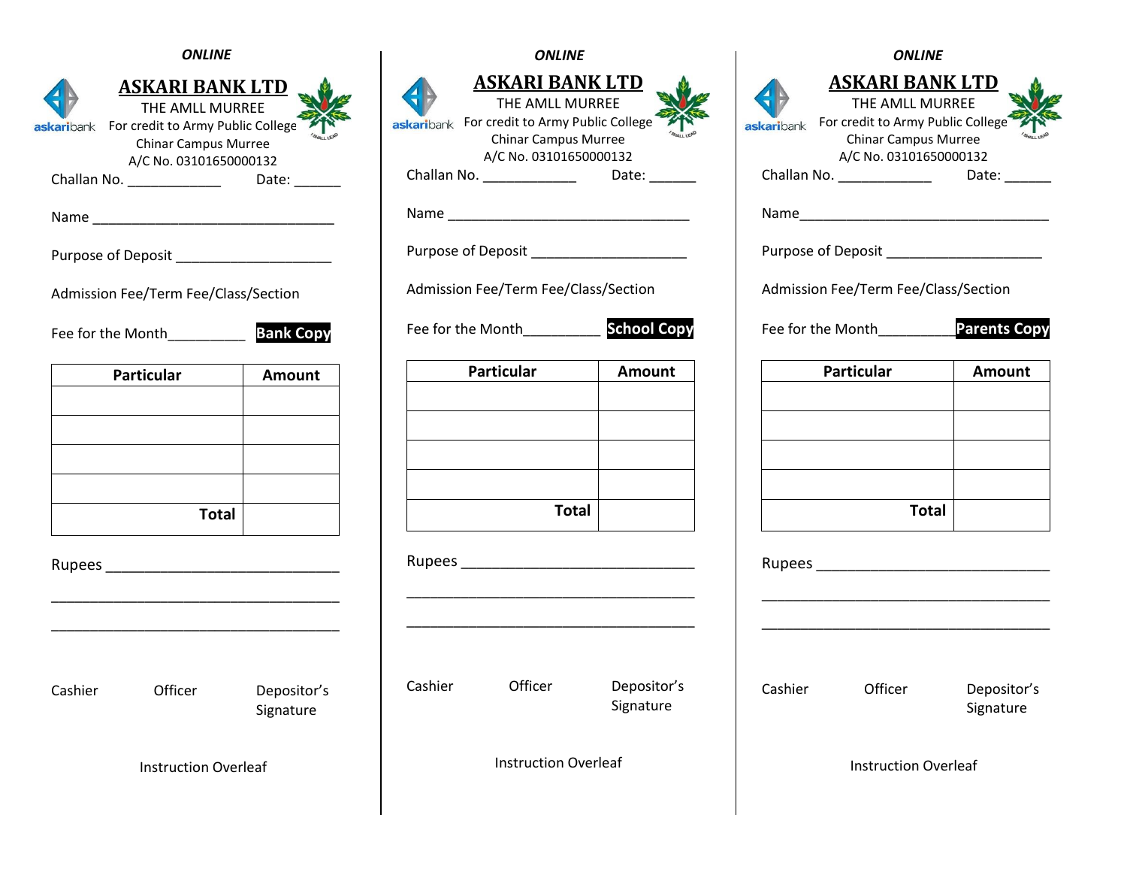|  |  | <b>ONLINE</b> |
|--|--|---------------|
|--|--|---------------|

|         | <b>ASKARI BANK LTD</b><br>THE AMLL MURREE<br>askaribank For credit to Army Public College<br><b>Chinar Campus Murree</b><br>A/C No. 03101650000132 |                          |
|---------|----------------------------------------------------------------------------------------------------------------------------------------------------|--------------------------|
|         | Challan No. _______________                                                                                                                        | Date: $\_\_$             |
|         |                                                                                                                                                    |                          |
|         | Purpose of Deposit ________________________                                                                                                        |                          |
|         | Admission Fee/Term Fee/Class/Section                                                                                                               |                          |
|         | Fee for the Month <b>Bank Copy</b>                                                                                                                 |                          |
|         | <b>Particular</b>                                                                                                                                  | Amount                   |
|         |                                                                                                                                                    |                          |
|         |                                                                                                                                                    |                          |
|         |                                                                                                                                                    |                          |
|         |                                                                                                                                                    |                          |
|         | <b>Total</b>                                                                                                                                       |                          |
|         |                                                                                                                                                    |                          |
|         |                                                                                                                                                    |                          |
| Cashier | Officer                                                                                                                                            | Depositor's<br>Signature |
|         | <b>Instruction Overleaf</b>                                                                                                                        |                          |

| ONLINE                                                                                          |                          | <b>ONLINE</b> |                                                                                                                                                                                    |                                           | <b>ONLINE</b> |                                                                                                                                                                 |                |
|-------------------------------------------------------------------------------------------------|--------------------------|---------------|------------------------------------------------------------------------------------------------------------------------------------------------------------------------------------|-------------------------------------------|---------------|-----------------------------------------------------------------------------------------------------------------------------------------------------------------|----------------|
| <u>I BANK LTD</u><br><b>MLL MURREE</b><br>Army Public College<br>Campus Murree<br>3101650000132 | Date: $\_\_$             |               | <b>ASKARI BANK LTD</b><br>THE AMLL MURREE<br>askaribank For credit to Army Public College<br><b>Chinar Campus Murree</b><br>A/C No. 03101650000132<br>Challan No. ________________ | Date: $\_\_$                              | askaribank    | <b>ASKARI BANK LT</b><br>THE AMLL MURREE<br>For credit to Army Public Co<br><b>Chinar Campus Murree</b><br>A/C No. 0310165000013<br>Challan No. _______________ | Da             |
|                                                                                                 |                          |               |                                                                                                                                                                                    | Purpose of Deposit ______________________ |               | Purpose of Deposit                                                                                                                                              |                |
| Fee/Class/Section                                                                               |                          |               | Admission Fee/Term Fee/Class/Section                                                                                                                                               |                                           |               | Admission Fee/Term Fee/Class/See                                                                                                                                |                |
|                                                                                                 | <b>Bank Copy</b>         |               | Fee for the Month__________                                                                                                                                                        | <b>School Copy</b>                        |               | Fee for the Month                                                                                                                                               | Par            |
|                                                                                                 | Amount                   |               | <b>Particular</b>                                                                                                                                                                  | Amount                                    |               | <b>Particular</b>                                                                                                                                               | $\overline{A}$ |
| <b>Total</b>                                                                                    |                          |               | <b>Total</b>                                                                                                                                                                       |                                           |               | <b>Total</b>                                                                                                                                                    |                |
|                                                                                                 |                          |               |                                                                                                                                                                                    |                                           |               | Rupees __________________________                                                                                                                               |                |
| er:                                                                                             | Depositor's<br>Signature | Cashier       | Officer                                                                                                                                                                            | Depositor's<br>Signature                  | Cashier       | Officer                                                                                                                                                         | De<br>Sig      |
| tion Overleaf:                                                                                  |                          |               | <b>Instruction Overleaf</b>                                                                                                                                                        |                                           |               | <b>Instruction Overleaf</b>                                                                                                                                     |                |

|                                                                                                        | ASKARI BANK LTD<br>THE AMLL MURREE        |                          |  |  |  |  |
|--------------------------------------------------------------------------------------------------------|-------------------------------------------|--------------------------|--|--|--|--|
| For credit to Army Public College<br>karibank<br><b>Chinar Campus Murree</b><br>A/C No. 03101650000132 |                                           |                          |  |  |  |  |
|                                                                                                        | Challan No. ____________<br>Date: $\_\_$  |                          |  |  |  |  |
|                                                                                                        |                                           |                          |  |  |  |  |
|                                                                                                        | Purpose of Deposit ______________________ |                          |  |  |  |  |
|                                                                                                        | Admission Fee/Term Fee/Class/Section      |                          |  |  |  |  |
|                                                                                                        | Fee for the Month___________Parents Copy  |                          |  |  |  |  |
|                                                                                                        | Particular                                | <b>Amount</b>            |  |  |  |  |
|                                                                                                        |                                           |                          |  |  |  |  |
|                                                                                                        |                                           |                          |  |  |  |  |
|                                                                                                        |                                           |                          |  |  |  |  |
|                                                                                                        | <b>Total</b>                              |                          |  |  |  |  |
|                                                                                                        |                                           |                          |  |  |  |  |
|                                                                                                        |                                           |                          |  |  |  |  |
| Cashier                                                                                                | Officer                                   | Depositor's<br>Signature |  |  |  |  |